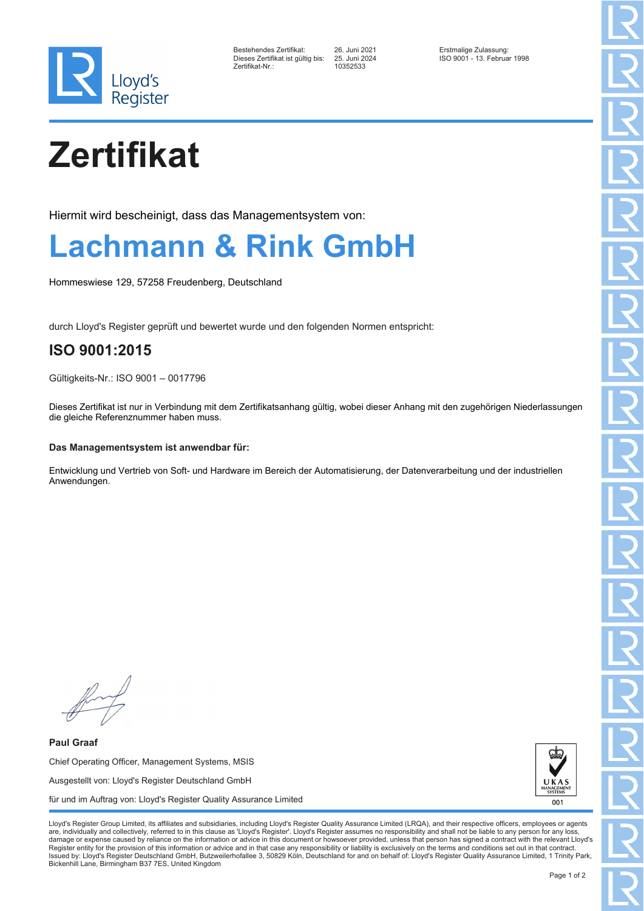

| Bestehendes Zertifikat:         |  |
|---------------------------------|--|
| Dieses Zertifikat ist gültig bi |  |
| Zertifikat-Nr.:                 |  |

Zertifikat-Nr.: 10352533

Bestehendes Zertifikat: 26. Juni 2021 Erstmalige Zulassung: Dieses Zertifikat ist gültig bis: 25. Juni 2024 ISO 9001 - 13. Februar 1998

# **Zertifikat**

Hiermit wird bescheinigt, dass das Managementsystem von:

### **Lachmann & Rink GmbH**

Hommeswiese 129, 57258 Freudenberg, Deutschland

durch Lloyd's Register geprüft und bewertet wurde und den folgenden Normen entspricht:

### **ISO 9001:2015**

Gültigkeits-Nr.: ISO 9001 – 0017796

Dieses Zertifikat ist nur in Verbindung mit dem Zertifikatsanhang gültig, wobei dieser Anhang mit den zugehörigen Niederlassungen die gleiche Referenznummer haben muss.

### **Das Managementsystem ist anwendbar für:**

Entwicklung und Vertrieb von Soft- und Hardware im Bereich der Automatisierung, der Datenverarbeitung und der industriellen Anwendungen.

**Paul Graaf** Chief Operating Officer, Management Systems, MSIS Ausgestellt von: Lloyd's Register Deutschland GmbH für und im Auftrag von: Lloyd's Register Quality Assurance Limited



Lloyd's Register Group Limited, its affiliates and subsidiaries, including Lloyd's Register Quality Assurance Limited (LRQA), and their respective officers, employees or agents are, individually and collectively, referred to in this clause as 'Lloyd's Register'. Lloyd's Register assumes no responsibility and shall not be liable to any person for any los damage or expense caused by reliance on the information or advice in this document or howsoever provided, unless that person has signed a contract with the relevant Lloyd's<br>Register entity for the provision of this informa Issued by: Lloyd's Register Deutschland GmbH, Butzweilerhofallee 3, 50829 Köln, Deutschland for and on behalf of: Lloyd's Register Quality Assurance Limited, 1 Trinity Park, Bickenhill Lane, Birmingham B37 7ES, United Kingdom